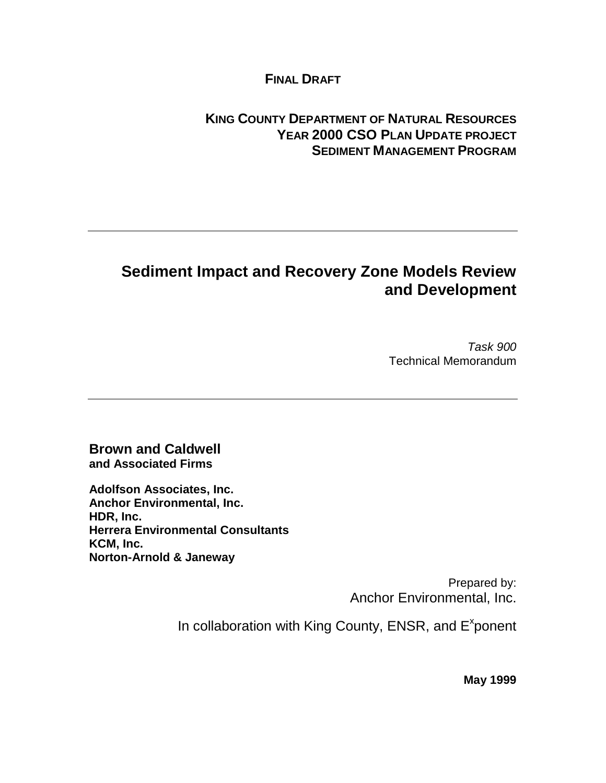#### **FINAL DRAFT**

#### **KING COUNTY DEPARTMENT OF NATURAL RESOURCES YEAR 2000 CSO PLAN UPDATE PROJECT SEDIMENT MANAGEMENT PROGRAM**

### **Sediment Impact and Recovery Zone Models Review and Development**

Task 900 Technical Memorandum

**Brown and Caldwell and Associated Firms**

**Adolfson Associates, Inc. Anchor Environmental, Inc. HDR, Inc. Herrera Environmental Consultants KCM, Inc. Norton-Arnold & Janeway**

> Prepared by: Anchor Environmental, Inc.

In collaboration with King County, ENSR, and E<sup>x</sup>ponent

**May 1999**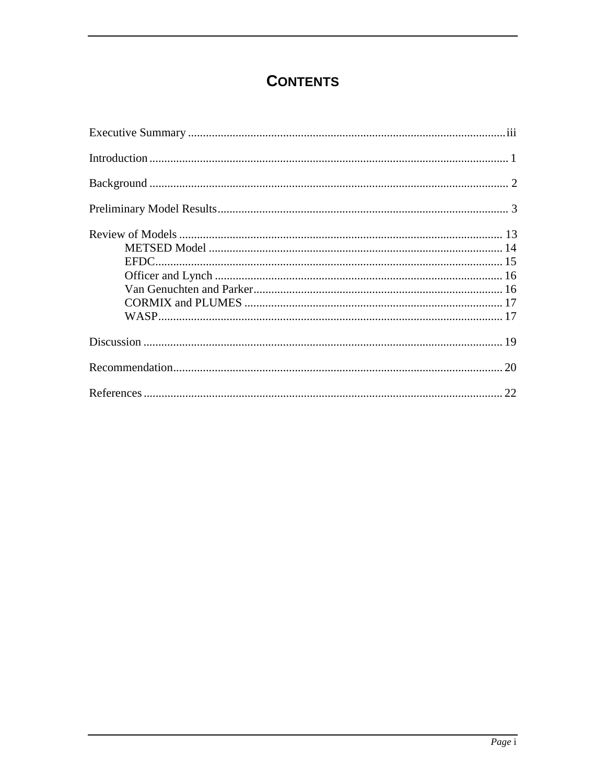## **CONTENTS**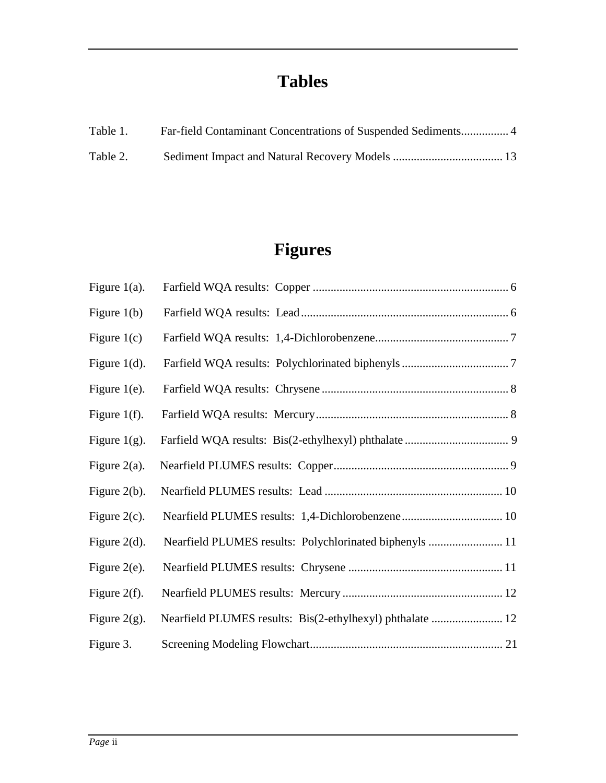## **Tables**

| Table 1. | Far-field Contaminant Concentrations of Suspended Sediments 4 |  |
|----------|---------------------------------------------------------------|--|
| Table 2. |                                                               |  |

# **Figures**

| Figure $1(a)$ .  |                                                           |  |
|------------------|-----------------------------------------------------------|--|
| Figure $1(b)$    |                                                           |  |
| Figure $1(c)$    |                                                           |  |
| Figure $1(d)$ .  |                                                           |  |
| Figure $1(e)$ .  |                                                           |  |
| Figure 1 $(f)$ . |                                                           |  |
| Figure $1(g)$ .  |                                                           |  |
| Figure $2(a)$ .  |                                                           |  |
| Figure $2(b)$ .  |                                                           |  |
| Figure $2(c)$ .  |                                                           |  |
| Figure $2(d)$ .  | Nearfield PLUMES results: Polychlorinated biphenyls  11   |  |
| Figure $2(e)$ .  |                                                           |  |
| Figure $2(f)$ .  |                                                           |  |
| Figure 2 $(g)$ . | Nearfield PLUMES results: Bis(2-ethylhexyl) phthalate  12 |  |
| Figure 3.        |                                                           |  |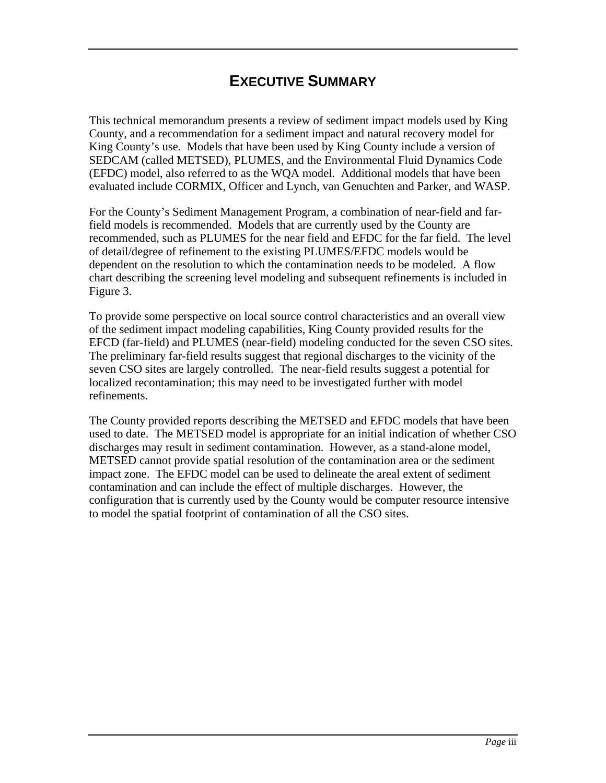### **EXECUTIVE SUMMARY**

This technical memorandum presents a review of sediment impact models used by King County, and a recommendation for a sediment impact and natural recovery model for King County's use. Models that have been used by King County include a version of SEDCAM (called METSED), PLUMES, and the Environmental Fluid Dynamics Code (EFDC) model, also referred to as the WQA model. Additional models that have been evaluated include CORMIX, Officer and Lynch, van Genuchten and Parker, and WASP.

For the County's Sediment Management Program, a combination of near-field and farfield models is recommended. Models that are currently used by the County are recommended, such as PLUMES for the near field and EFDC for the far field. The level of detail/degree of refinement to the existing PLUMES/EFDC models would be dependent on the resolution to which the contamination needs to be modeled. A flow chart describing the screening level modeling and subsequent refinements is included in Figure 3.

To provide some perspective on local source control characteristics and an overall view of the sediment impact modeling capabilities, King County provided results for the EFCD (far-field) and PLUMES (near-field) modeling conducted for the seven CSO sites. The preliminary far-field results suggest that regional discharges to the vicinity of the seven CSO sites are largely controlled. The near-field results suggest a potential for localized recontamination; this may need to be investigated further with model refinements.

The County provided reports describing the METSED and EFDC models that have been used to date. The METSED model is appropriate for an initial indication of whether CSO discharges may result in sediment contamination. However, as a stand-alone model, METSED cannot provide spatial resolution of the contamination area or the sediment impact zone. The EFDC model can be used to delineate the areal extent of sediment contamination and can include the effect of multiple discharges. However, the configuration that is currently used by the County would be computer resource intensive to model the spatial footprint of contamination of all the CSO sites.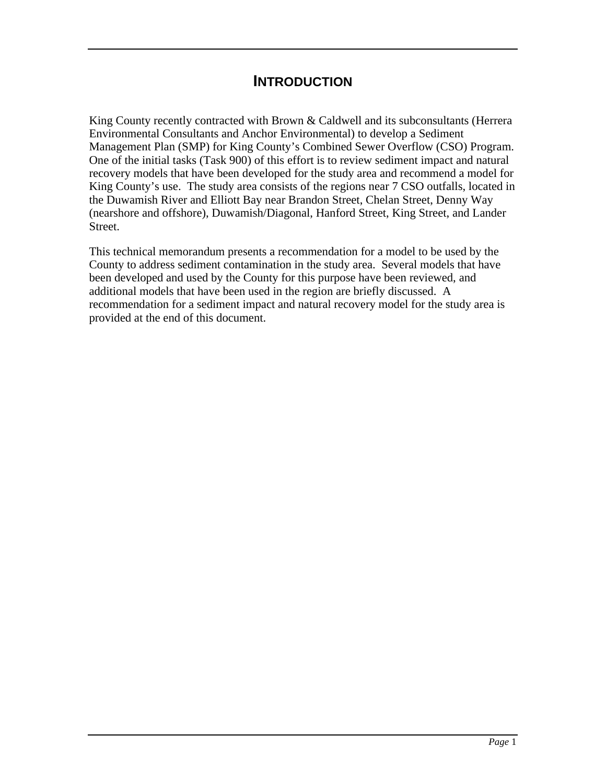#### **INTRODUCTION**

King County recently contracted with Brown & Caldwell and its subconsultants (Herrera Environmental Consultants and Anchor Environmental) to develop a Sediment Management Plan (SMP) for King County's Combined Sewer Overflow (CSO) Program. One of the initial tasks (Task 900) of this effort is to review sediment impact and natural recovery models that have been developed for the study area and recommend a model for King County's use. The study area consists of the regions near 7 CSO outfalls, located in the Duwamish River and Elliott Bay near Brandon Street, Chelan Street, Denny Way (nearshore and offshore), Duwamish/Diagonal, Hanford Street, King Street, and Lander Street.

This technical memorandum presents a recommendation for a model to be used by the County to address sediment contamination in the study area. Several models that have been developed and used by the County for this purpose have been reviewed, and additional models that have been used in the region are briefly discussed. A recommendation for a sediment impact and natural recovery model for the study area is provided at the end of this document.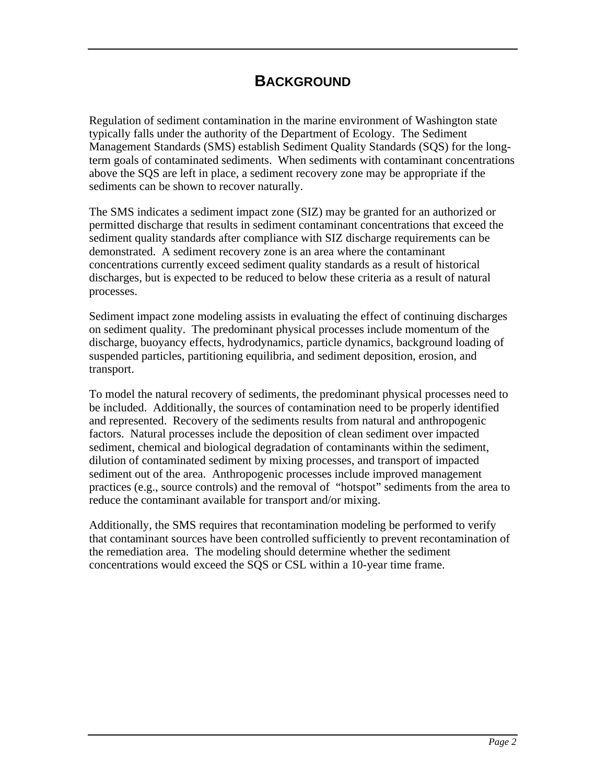#### **BACKGROUND**

Regulation of sediment contamination in the marine environment of Washington state typically falls under the authority of the Department of Ecology. The Sediment Management Standards (SMS) establish Sediment Quality Standards (SQS) for the longterm goals of contaminated sediments. When sediments with contaminant concentrations above the SQS are left in place, a sediment recovery zone may be appropriate if the sediments can be shown to recover naturally.

The SMS indicates a sediment impact zone (SIZ) may be granted for an authorized or permitted discharge that results in sediment contaminant concentrations that exceed the sediment quality standards after compliance with SIZ discharge requirements can be demonstrated. A sediment recovery zone is an area where the contaminant concentrations currently exceed sediment quality standards as a result of historical discharges, but is expected to be reduced to below these criteria as a result of natural processes.

Sediment impact zone modeling assists in evaluating the effect of continuing discharges on sediment quality. The predominant physical processes include momentum of the discharge, buoyancy effects, hydrodynamics, particle dynamics, background loading of suspended particles, partitioning equilibria, and sediment deposition, erosion, and transport.

To model the natural recovery of sediments, the predominant physical processes need to be included. Additionally, the sources of contamination need to be properly identified and represented. Recovery of the sediments results from natural and anthropogenic factors. Natural processes include the deposition of clean sediment over impacted sediment, chemical and biological degradation of contaminants within the sediment, dilution of contaminated sediment by mixing processes, and transport of impacted sediment out of the area. Anthropogenic processes include improved management practices (e.g., source controls) and the removal of "hotspot" sediments from the area to reduce the contaminant available for transport and/or mixing.

Additionally, the SMS requires that recontamination modeling be performed to verify that contaminant sources have been controlled sufficiently to prevent recontamination of the remediation area. The modeling should determine whether the sediment concentrations would exceed the SQS or CSL within a 10-year time frame.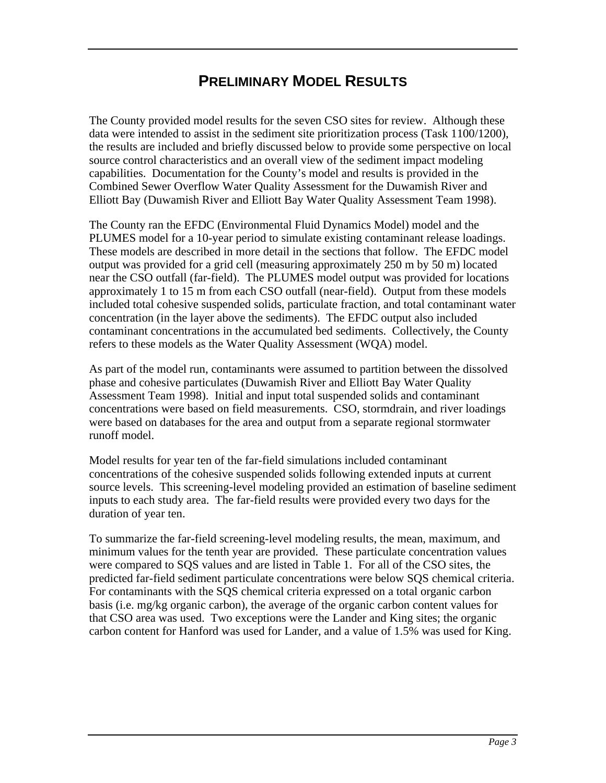#### **PRELIMINARY MODEL RESULTS**

The County provided model results for the seven CSO sites for review. Although these data were intended to assist in the sediment site prioritization process (Task 1100/1200), the results are included and briefly discussed below to provide some perspective on local source control characteristics and an overall view of the sediment impact modeling capabilities. Documentation for the County's model and results is provided in the Combined Sewer Overflow Water Quality Assessment for the Duwamish River and Elliott Bay (Duwamish River and Elliott Bay Water Quality Assessment Team 1998).

The County ran the EFDC (Environmental Fluid Dynamics Model) model and the PLUMES model for a 10-year period to simulate existing contaminant release loadings. These models are described in more detail in the sections that follow. The EFDC model output was provided for a grid cell (measuring approximately 250 m by 50 m) located near the CSO outfall (far-field). The PLUMES model output was provided for locations approximately 1 to 15 m from each CSO outfall (near-field). Output from these models included total cohesive suspended solids, particulate fraction, and total contaminant water concentration (in the layer above the sediments). The EFDC output also included contaminant concentrations in the accumulated bed sediments. Collectively, the County refers to these models as the Water Quality Assessment (WQA) model.

As part of the model run, contaminants were assumed to partition between the dissolved phase and cohesive particulates (Duwamish River and Elliott Bay Water Quality Assessment Team 1998). Initial and input total suspended solids and contaminant concentrations were based on field measurements. CSO, stormdrain, and river loadings were based on databases for the area and output from a separate regional stormwater runoff model.

Model results for year ten of the far-field simulations included contaminant concentrations of the cohesive suspended solids following extended inputs at current source levels. This screening-level modeling provided an estimation of baseline sediment inputs to each study area. The far-field results were provided every two days for the duration of year ten.

To summarize the far-field screening-level modeling results, the mean, maximum, and minimum values for the tenth year are provided. These particulate concentration values were compared to SQS values and are listed in Table 1. For all of the CSO sites, the predicted far-field sediment particulate concentrations were below SQS chemical criteria. For contaminants with the SQS chemical criteria expressed on a total organic carbon basis (i.e. mg/kg organic carbon), the average of the organic carbon content values for that CSO area was used. Two exceptions were the Lander and King sites; the organic carbon content for Hanford was used for Lander, and a value of 1.5% was used for King.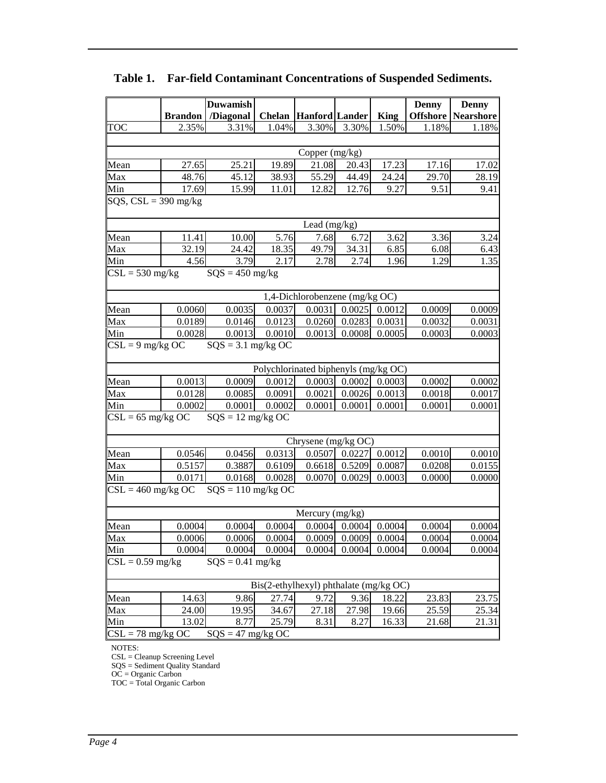|                                              |                        | <b>Duwamish</b>               |        |                                        |                            |                  | <b>Denny</b>     | <b>Denny</b>              |
|----------------------------------------------|------------------------|-------------------------------|--------|----------------------------------------|----------------------------|------------------|------------------|---------------------------|
|                                              | <b>Brandon</b>         | /Diagonal                     |        | <b>Chelan Hanford Lander</b>           |                            | <b>King</b>      |                  | <b>Offshore Nearshore</b> |
| <b>TOC</b>                                   | 2.35%                  | 3.31%                         | 1.04%  | 3.30%                                  | 3.30%                      | 1.50%            | 1.18%            | 1.18%                     |
|                                              |                        |                               |        |                                        |                            |                  |                  |                           |
|                                              |                        |                               |        | Copper (mg/kg)                         |                            |                  |                  |                           |
| Mean                                         | 27.65                  | 25.21                         | 19.89  | 21.08                                  | 20.43                      | 17.23            | 17.16            | 17.02                     |
| Max                                          | 48.76                  | 45.12                         | 38.93  | 55.29                                  | 44.49                      | 24.24            | 29.70            | 28.19                     |
| Min                                          | 17.69                  | 15.99                         | 11.01  | 12.82                                  | 12.76                      | 9.27             | 9.51             | 9.41                      |
|                                              | SQS, $CSL = 390$ mg/kg |                               |        |                                        |                            |                  |                  |                           |
|                                              |                        |                               |        |                                        |                            |                  |                  |                           |
|                                              |                        |                               |        | Lead (mg/kg)                           |                            |                  |                  |                           |
| Mean                                         | 11.41                  | $10.00\,$                     | 5.76   | 7.68                                   | 6.72                       | 3.62             | 3.36             | 3.24                      |
| Max                                          | 32.19                  | 24.42                         | 18.35  | 49.79                                  | 34.31                      | 6.85             | 6.08             | 6.43                      |
| Min                                          | 4.56                   | 3.79                          | 2.17   | 2.78                                   | 2.74                       | 1.96             | 1.29             | 1.35                      |
| $\overline{\text{CS}}$ L = 530 mg/kg         |                        | $SQS = 450$ mg/kg             |        |                                        |                            |                  |                  |                           |
|                                              |                        |                               |        |                                        |                            |                  |                  |                           |
|                                              |                        |                               |        | 1,4-Dichlorobenzene (mg/kg OC)         |                            |                  |                  |                           |
| Mean                                         | 0.0060                 | 0.0035                        | 0.0037 | 0.0031                                 | 0.0025                     | 0.0012           | 0.0009           | 0.0009                    |
| Max                                          | 0.0189                 | 0.0146                        | 0.0123 | 0.0260                                 | 0.0283                     | 0.0031           | 0.0032           | 0.0031                    |
| Min                                          | 0.0028                 | 0.0013                        | 0.0010 | 0.0013                                 | 0.0008                     | 0.0005           | 0.0003           | 0.0003                    |
| $\overline{\text{CSL}} = 9 \text{ mg/kg OC}$ |                        | $SQS = 3.1$ mg/kg OC          |        |                                        |                            |                  |                  |                           |
|                                              |                        |                               |        |                                        |                            |                  |                  |                           |
|                                              |                        |                               |        | Polychlorinated biphenyls (mg/kg OC)   |                            |                  |                  |                           |
| Mean                                         | 0.0013                 | 0.0009                        | 0.0012 | 0.0003                                 | 0.0002                     | 0.0003           | 0.0002           | 0.0002                    |
| Max<br>Min                                   | 0.0128<br>0.0002       | 0.0085                        | 0.0091 | 0.0021<br>0.0001                       | 0.0026<br>0.0001           | 0.0013<br>0.0001 | 0.0018<br>0.0001 | 0.0017                    |
| $CSL = 65$ mg/kg OC                          |                        | 0.0001<br>$SQS = 12$ mg/kg OC | 0.0002 |                                        |                            |                  |                  | 0.0001                    |
|                                              |                        |                               |        |                                        |                            |                  |                  |                           |
|                                              |                        |                               |        | Chrysene (mg/kg OC)                    |                            |                  |                  |                           |
| Mean                                         | 0.0546                 | 0.0456                        | 0.0313 | 0.0507                                 | 0.0227                     | 0.0012           | 0.0010           | 0.0010                    |
| Max                                          | 0.5157                 | 0.3887                        | 0.6109 | 0.6618                                 | 0.5209                     | 0.0087           | 0.0208           | 0.0155                    |
| Min                                          | 0.0171                 | 0.0168                        | 0.0028 | 0.0070                                 | 0.0029                     | 0.0003           | 0.0000           | 0.0000                    |
| $CSL = 460$ mg/kg OC                         |                        | $SQS = 110$ mg/kg OC          |        |                                        |                            |                  |                  |                           |
|                                              |                        |                               |        |                                        |                            |                  |                  |                           |
|                                              |                        |                               |        | Mercury (mg/kg)                        |                            |                  |                  |                           |
| Mean                                         | 0.0004                 | 0.0004                        | 0.0004 |                                        | $0.0004$ 0.0004            | 0.0004           | 0.0004           | 0.0004                    |
| Max                                          | 0.0006                 | 0.0006                        | 0.0004 |                                        | $0.0009$ $0.0009$ $0.0004$ |                  | 0.0004           | 0.0004                    |
| Min                                          | 0.0004                 | 0.0004                        | 0.0004 | 0.0004                                 | 0.0004                     | 0.0004           | 0.0004           | 0.0004                    |
| $CSL = 0.59$ mg/kg                           |                        | $SQS = 0.41$ mg/kg            |        |                                        |                            |                  |                  |                           |
|                                              |                        |                               |        |                                        |                            |                  |                  |                           |
|                                              |                        |                               |        | Bis(2-ethylhexyl) phthalate (mg/kg OC) |                            |                  |                  |                           |
| Mean                                         | 14.63                  | 9.86                          | 27.74  | 9.72                                   | 9.36                       | 18.22            | 23.83            | 23.75                     |
| Max                                          | 24.00                  | 19.95                         | 34.67  | 27.18                                  | 27.98                      | 19.66            | 25.59            | 25.34                     |
| Min                                          | 13.02                  | 8.77                          | 25.79  | 8.31                                   | 8.27                       | 16.33            | 21.68            | 21.31                     |
| $CSL = 78$ mg/kg OC                          |                        | $SQS = 47$ mg/kg OC           |        |                                        |                            |                  |                  |                           |
|                                              |                        |                               |        |                                        |                            |                  |                  |                           |

#### **Table 1. Far-field Contaminant Concentrations of Suspended Sediments.**

NOTES:

CSL = Cleanup Screening Level

SQS = Sediment Quality Standard

OC = Organic Carbon

TOC = Total Organic Carbon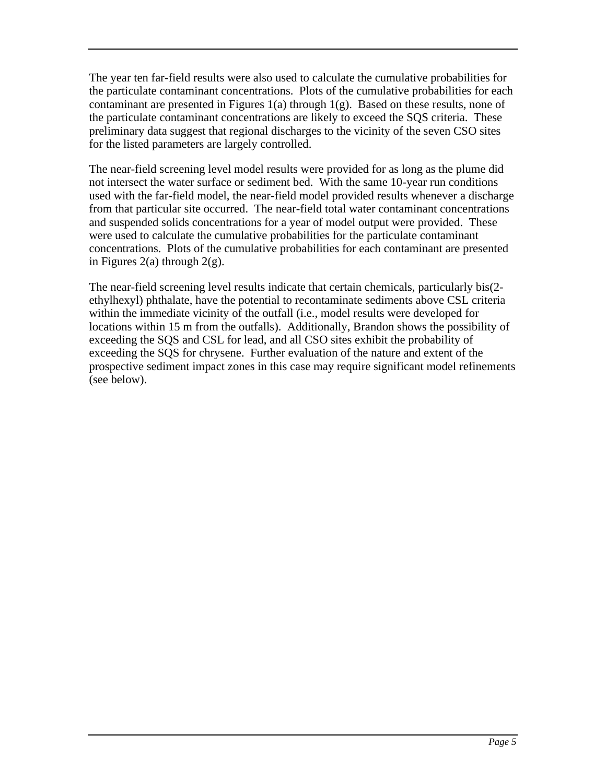The year ten far-field results were also used to calculate the cumulative probabilities for the particulate contaminant concentrations. Plots of the cumulative probabilities for each contaminant are presented in Figures  $1(a)$  through  $1(g)$ . Based on these results, none of the particulate contaminant concentrations are likely to exceed the SQS criteria. These preliminary data suggest that regional discharges to the vicinity of the seven CSO sites for the listed parameters are largely controlled.

The near-field screening level model results were provided for as long as the plume did not intersect the water surface or sediment bed. With the same 10-year run conditions used with the far-field model, the near-field model provided results whenever a discharge from that particular site occurred. The near-field total water contaminant concentrations and suspended solids concentrations for a year of model output were provided. These were used to calculate the cumulative probabilities for the particulate contaminant concentrations. Plots of the cumulative probabilities for each contaminant are presented in Figures 2(a) through  $2(g)$ .

The near-field screening level results indicate that certain chemicals, particularly bis(2 ethylhexyl) phthalate, have the potential to recontaminate sediments above CSL criteria within the immediate vicinity of the outfall (i.e., model results were developed for locations within 15 m from the outfalls). Additionally, Brandon shows the possibility of exceeding the SQS and CSL for lead, and all CSO sites exhibit the probability of exceeding the SQS for chrysene. Further evaluation of the nature and extent of the prospective sediment impact zones in this case may require significant model refinements (see below).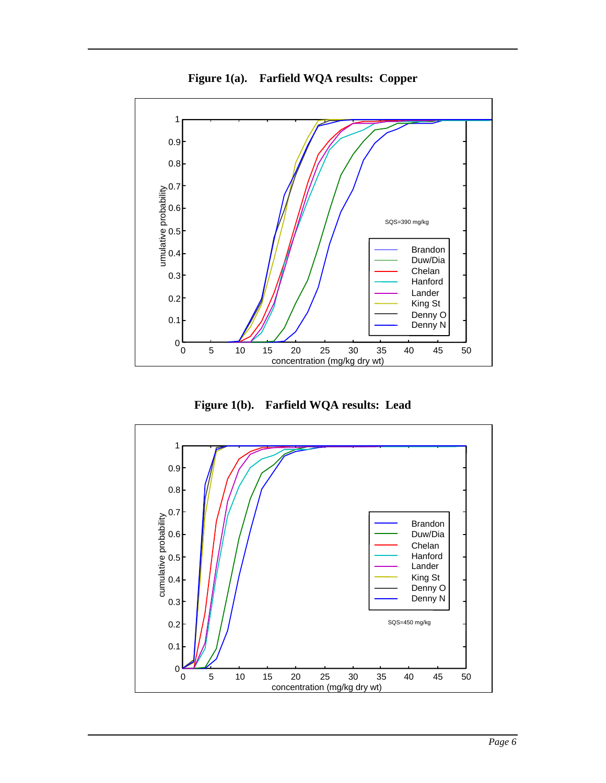

**Figure 1(a). Farfield WQA results: Copper**

**Figure 1(b). Farfield WQA results: Lead**

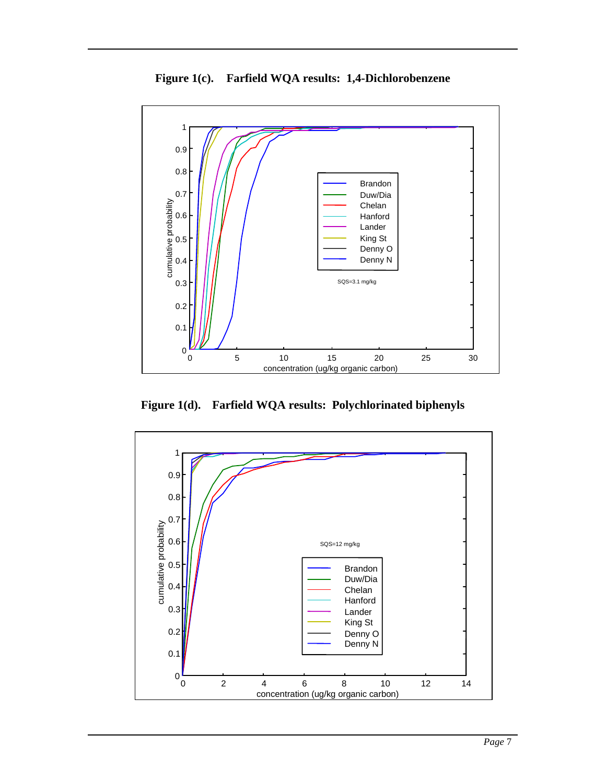

**Figure 1(c). Farfield WQA results: 1,4-Dichlorobenzene**

**Figure 1(d). Farfield WQA results: Polychlorinated biphenyls**

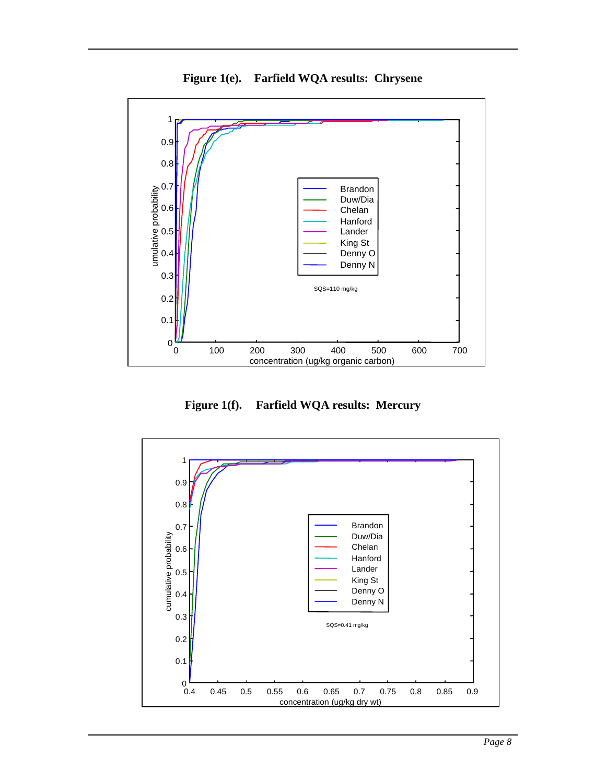

**Figure 1(e). Farfield WQA results: Chrysene**

**Figure 1(f). Farfield WQA results: Mercury**

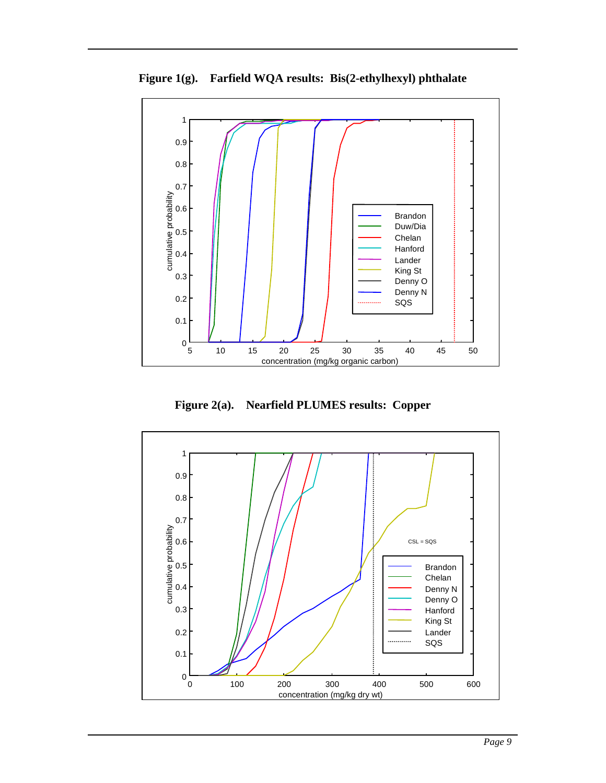

**Figure 1(g). Farfield WQA results: Bis(2-ethylhexyl) phthalate**

**Figure 2(a). Nearfield PLUMES results: Copper**

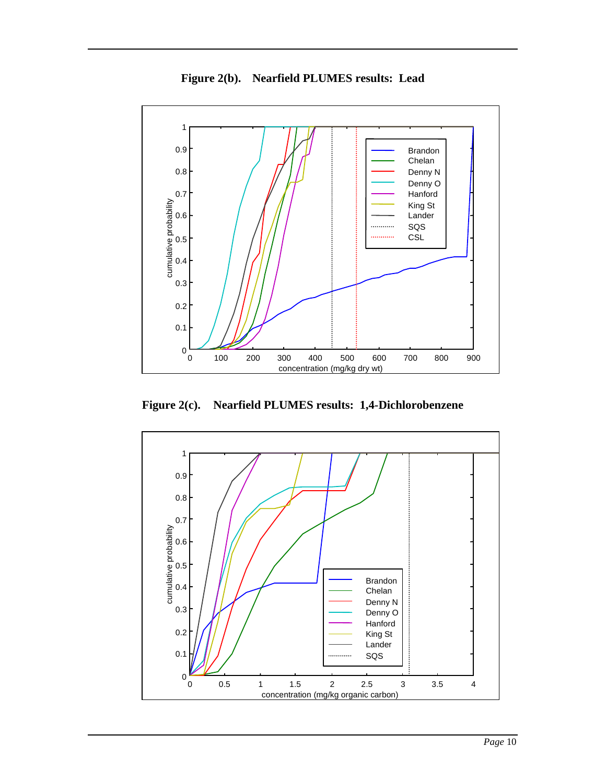

**Figure 2(b). Nearfield PLUMES results: Lead**

**Figure 2(c). Nearfield PLUMES results: 1,4-Dichlorobenzene**

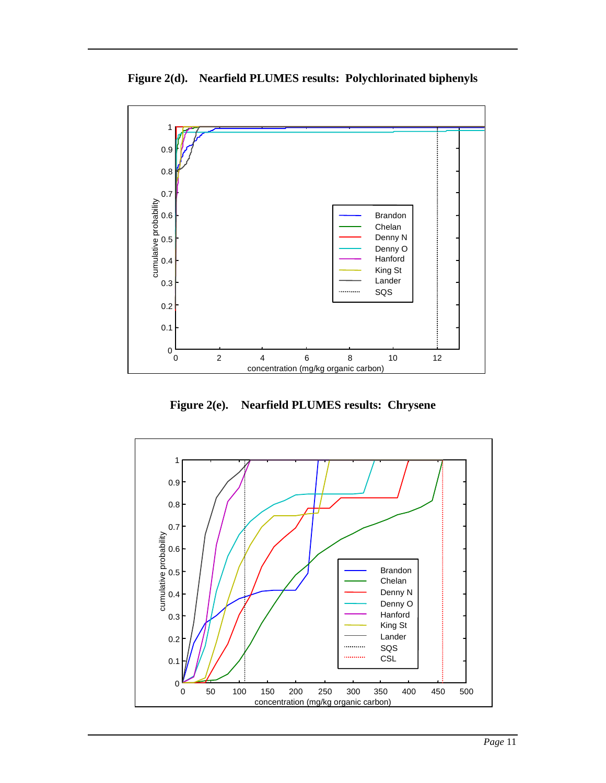

**Figure 2(d). Nearfield PLUMES results: Polychlorinated biphenyls**

**Figure 2(e). Nearfield PLUMES results: Chrysene**

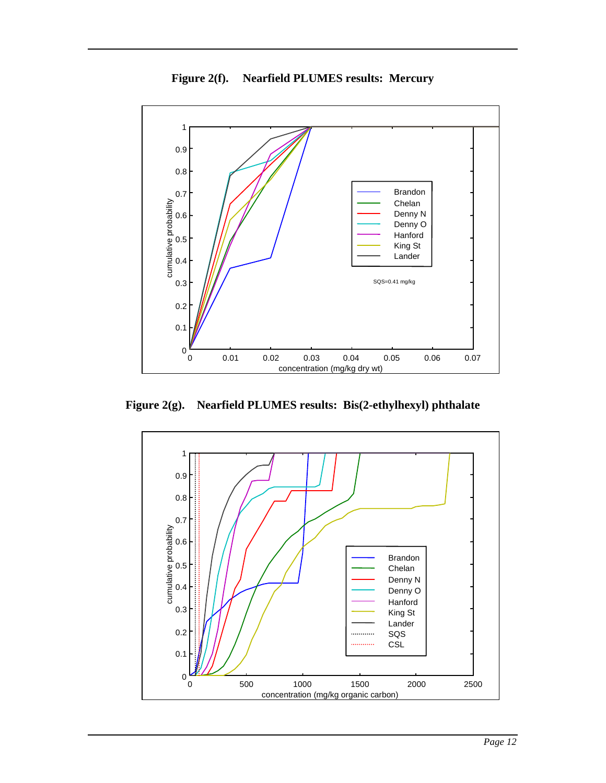

**Figure 2(f). Nearfield PLUMES results: Mercury**

**Figure 2(g). Nearfield PLUMES results: Bis(2-ethylhexyl) phthalate**

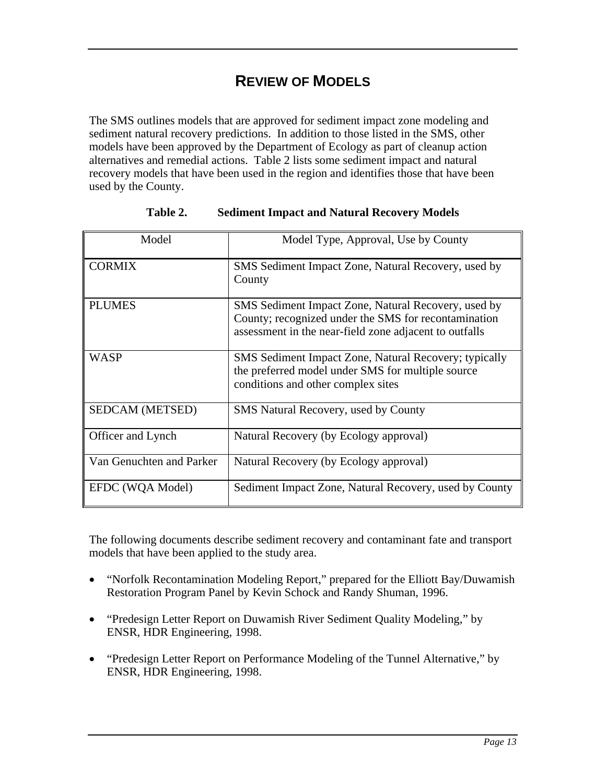### **REVIEW OF MODELS**

The SMS outlines models that are approved for sediment impact zone modeling and sediment natural recovery predictions. In addition to those listed in the SMS, other models have been approved by the Department of Ecology as part of cleanup action alternatives and remedial actions. Table 2 lists some sediment impact and natural recovery models that have been used in the region and identifies those that have been used by the County.

| Model                    | Model Type, Approval, Use by County                                                                                                                                   |
|--------------------------|-----------------------------------------------------------------------------------------------------------------------------------------------------------------------|
| <b>CORMIX</b>            | SMS Sediment Impact Zone, Natural Recovery, used by<br>County                                                                                                         |
| <b>PLUMES</b>            | SMS Sediment Impact Zone, Natural Recovery, used by<br>County; recognized under the SMS for recontamination<br>assessment in the near-field zone adjacent to outfalls |
| <b>WASP</b>              | <b>SMS</b> Sediment Impact Zone, Natural Recovery; typically<br>the preferred model under SMS for multiple source<br>conditions and other complex sites               |
| SEDCAM (METSED)          | <b>SMS</b> Natural Recovery, used by County                                                                                                                           |
| Officer and Lynch        | Natural Recovery (by Ecology approval)                                                                                                                                |
| Van Genuchten and Parker | Natural Recovery (by Ecology approval)                                                                                                                                |
| EFDC (WQA Model)         | Sediment Impact Zone, Natural Recovery, used by County                                                                                                                |

| Table 2. | <b>Sediment Impact and Natural Recovery Models</b> |  |  |
|----------|----------------------------------------------------|--|--|
|          |                                                    |  |  |

The following documents describe sediment recovery and contaminant fate and transport models that have been applied to the study area.

- "Norfolk Recontamination Modeling Report," prepared for the Elliott Bay/Duwamish Restoration Program Panel by Kevin Schock and Randy Shuman, 1996.
- "Predesign Letter Report on Duwamish River Sediment Quality Modeling," by ENSR, HDR Engineering, 1998.
- "Predesign Letter Report on Performance Modeling of the Tunnel Alternative," by ENSR, HDR Engineering, 1998.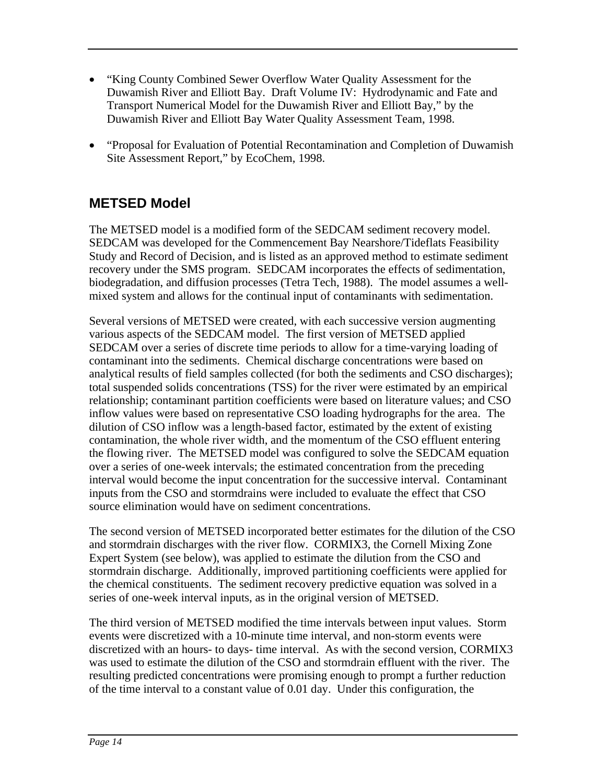- "King County Combined Sewer Overflow Water Quality Assessment for the Duwamish River and Elliott Bay. Draft Volume IV: Hydrodynamic and Fate and Transport Numerical Model for the Duwamish River and Elliott Bay," by the Duwamish River and Elliott Bay Water Quality Assessment Team, 1998.
- "Proposal for Evaluation of Potential Recontamination and Completion of Duwamish Site Assessment Report," by EcoChem, 1998.

#### **METSED Model**

The METSED model is a modified form of the SEDCAM sediment recovery model. SEDCAM was developed for the Commencement Bay Nearshore/Tideflats Feasibility Study and Record of Decision, and is listed as an approved method to estimate sediment recovery under the SMS program. SEDCAM incorporates the effects of sedimentation, biodegradation, and diffusion processes (Tetra Tech, 1988). The model assumes a wellmixed system and allows for the continual input of contaminants with sedimentation.

Several versions of METSED were created, with each successive version augmenting various aspects of the SEDCAM model. The first version of METSED applied SEDCAM over a series of discrete time periods to allow for a time-varying loading of contaminant into the sediments. Chemical discharge concentrations were based on analytical results of field samples collected (for both the sediments and CSO discharges); total suspended solids concentrations (TSS) for the river were estimated by an empirical relationship; contaminant partition coefficients were based on literature values; and CSO inflow values were based on representative CSO loading hydrographs for the area. The dilution of CSO inflow was a length-based factor, estimated by the extent of existing contamination, the whole river width, and the momentum of the CSO effluent entering the flowing river. The METSED model was configured to solve the SEDCAM equation over a series of one-week intervals; the estimated concentration from the preceding interval would become the input concentration for the successive interval. Contaminant inputs from the CSO and stormdrains were included to evaluate the effect that CSO source elimination would have on sediment concentrations.

The second version of METSED incorporated better estimates for the dilution of the CSO and stormdrain discharges with the river flow. CORMIX3, the Cornell Mixing Zone Expert System (see below), was applied to estimate the dilution from the CSO and stormdrain discharge. Additionally, improved partitioning coefficients were applied for the chemical constituents. The sediment recovery predictive equation was solved in a series of one-week interval inputs, as in the original version of METSED.

The third version of METSED modified the time intervals between input values. Storm events were discretized with a 10-minute time interval, and non-storm events were discretized with an hours- to days- time interval. As with the second version, CORMIX3 was used to estimate the dilution of the CSO and stormdrain effluent with the river. The resulting predicted concentrations were promising enough to prompt a further reduction of the time interval to a constant value of 0.01 day. Under this configuration, the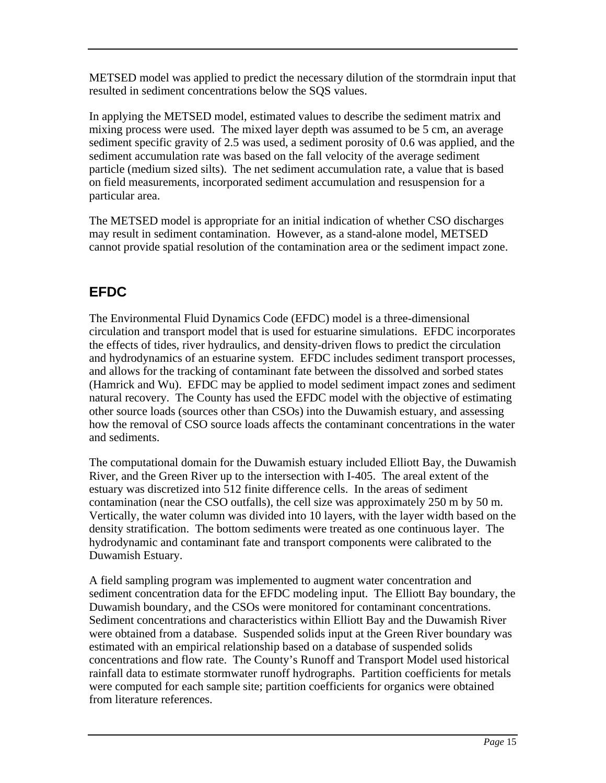METSED model was applied to predict the necessary dilution of the stormdrain input that resulted in sediment concentrations below the SQS values.

In applying the METSED model, estimated values to describe the sediment matrix and mixing process were used. The mixed layer depth was assumed to be 5 cm, an average sediment specific gravity of 2.5 was used, a sediment porosity of 0.6 was applied, and the sediment accumulation rate was based on the fall velocity of the average sediment particle (medium sized silts). The net sediment accumulation rate, a value that is based on field measurements, incorporated sediment accumulation and resuspension for a particular area.

The METSED model is appropriate for an initial indication of whether CSO discharges may result in sediment contamination. However, as a stand-alone model, METSED cannot provide spatial resolution of the contamination area or the sediment impact zone.

#### **EFDC**

The Environmental Fluid Dynamics Code (EFDC) model is a three-dimensional circulation and transport model that is used for estuarine simulations. EFDC incorporates the effects of tides, river hydraulics, and density-driven flows to predict the circulation and hydrodynamics of an estuarine system. EFDC includes sediment transport processes, and allows for the tracking of contaminant fate between the dissolved and sorbed states (Hamrick and Wu). EFDC may be applied to model sediment impact zones and sediment natural recovery. The County has used the EFDC model with the objective of estimating other source loads (sources other than CSOs) into the Duwamish estuary, and assessing how the removal of CSO source loads affects the contaminant concentrations in the water and sediments.

The computational domain for the Duwamish estuary included Elliott Bay, the Duwamish River, and the Green River up to the intersection with I-405. The areal extent of the estuary was discretized into 512 finite difference cells. In the areas of sediment contamination (near the CSO outfalls), the cell size was approximately 250 m by 50 m. Vertically, the water column was divided into 10 layers, with the layer width based on the density stratification. The bottom sediments were treated as one continuous layer. The hydrodynamic and contaminant fate and transport components were calibrated to the Duwamish Estuary.

A field sampling program was implemented to augment water concentration and sediment concentration data for the EFDC modeling input. The Elliott Bay boundary, the Duwamish boundary, and the CSOs were monitored for contaminant concentrations. Sediment concentrations and characteristics within Elliott Bay and the Duwamish River were obtained from a database. Suspended solids input at the Green River boundary was estimated with an empirical relationship based on a database of suspended solids concentrations and flow rate. The County's Runoff and Transport Model used historical rainfall data to estimate stormwater runoff hydrographs. Partition coefficients for metals were computed for each sample site; partition coefficients for organics were obtained from literature references.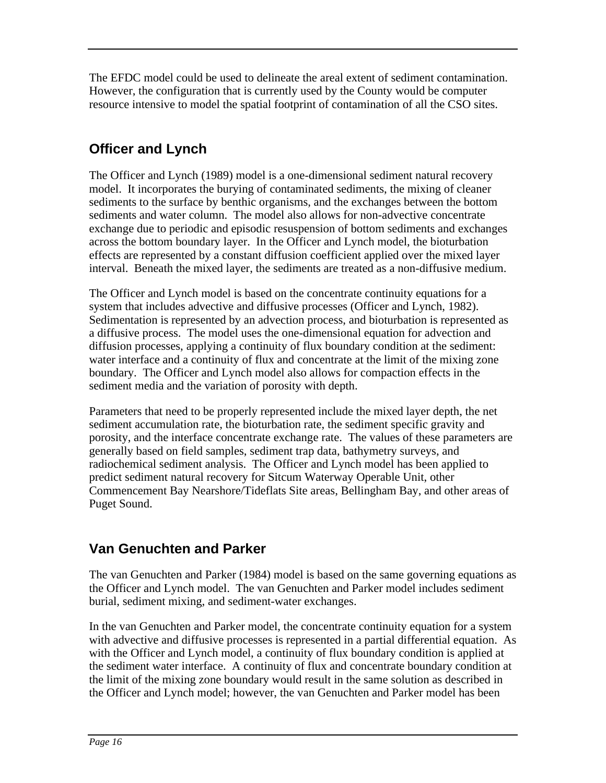The EFDC model could be used to delineate the areal extent of sediment contamination. However, the configuration that is currently used by the County would be computer resource intensive to model the spatial footprint of contamination of all the CSO sites.

### **Officer and Lynch**

The Officer and Lynch (1989) model is a one-dimensional sediment natural recovery model. It incorporates the burying of contaminated sediments, the mixing of cleaner sediments to the surface by benthic organisms, and the exchanges between the bottom sediments and water column. The model also allows for non-advective concentrate exchange due to periodic and episodic resuspension of bottom sediments and exchanges across the bottom boundary layer. In the Officer and Lynch model, the bioturbation effects are represented by a constant diffusion coefficient applied over the mixed layer interval. Beneath the mixed layer, the sediments are treated as a non-diffusive medium.

The Officer and Lynch model is based on the concentrate continuity equations for a system that includes advective and diffusive processes (Officer and Lynch, 1982). Sedimentation is represented by an advection process, and bioturbation is represented as a diffusive process. The model uses the one-dimensional equation for advection and diffusion processes, applying a continuity of flux boundary condition at the sediment: water interface and a continuity of flux and concentrate at the limit of the mixing zone boundary. The Officer and Lynch model also allows for compaction effects in the sediment media and the variation of porosity with depth.

Parameters that need to be properly represented include the mixed layer depth, the net sediment accumulation rate, the bioturbation rate, the sediment specific gravity and porosity, and the interface concentrate exchange rate. The values of these parameters are generally based on field samples, sediment trap data, bathymetry surveys, and radiochemical sediment analysis. The Officer and Lynch model has been applied to predict sediment natural recovery for Sitcum Waterway Operable Unit, other Commencement Bay Nearshore/Tideflats Site areas, Bellingham Bay, and other areas of Puget Sound.

#### **Van Genuchten and Parker**

The van Genuchten and Parker (1984) model is based on the same governing equations as the Officer and Lynch model. The van Genuchten and Parker model includes sediment burial, sediment mixing, and sediment-water exchanges.

In the van Genuchten and Parker model, the concentrate continuity equation for a system with advective and diffusive processes is represented in a partial differential equation. As with the Officer and Lynch model, a continuity of flux boundary condition is applied at the sediment water interface. A continuity of flux and concentrate boundary condition at the limit of the mixing zone boundary would result in the same solution as described in the Officer and Lynch model; however, the van Genuchten and Parker model has been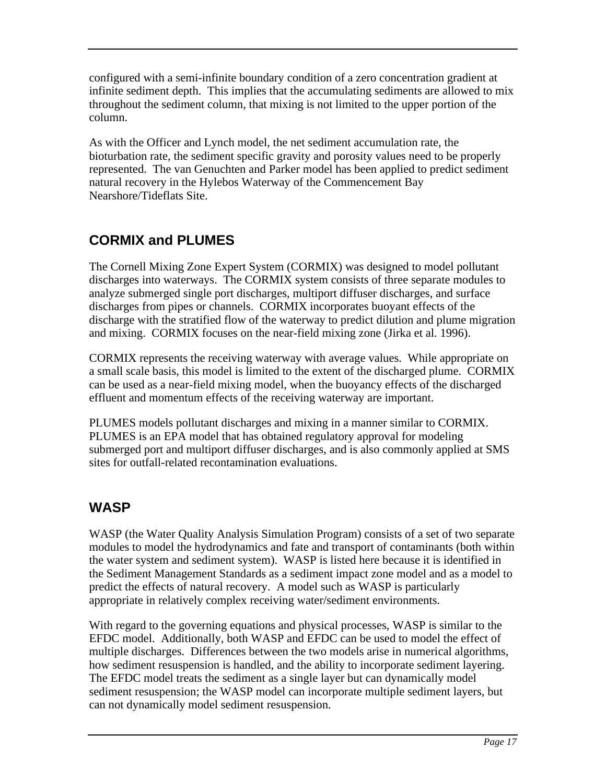configured with a semi-infinite boundary condition of a zero concentration gradient at infinite sediment depth. This implies that the accumulating sediments are allowed to mix throughout the sediment column, that mixing is not limited to the upper portion of the column.

As with the Officer and Lynch model, the net sediment accumulation rate, the bioturbation rate, the sediment specific gravity and porosity values need to be properly represented. The van Genuchten and Parker model has been applied to predict sediment natural recovery in the Hylebos Waterway of the Commencement Bay Nearshore/Tideflats Site.

### **CORMIX and PLUMES**

The Cornell Mixing Zone Expert System (CORMIX) was designed to model pollutant discharges into waterways. The CORMIX system consists of three separate modules to analyze submerged single port discharges, multiport diffuser discharges, and surface discharges from pipes or channels. CORMIX incorporates buoyant effects of the discharge with the stratified flow of the waterway to predict dilution and plume migration and mixing. CORMIX focuses on the near-field mixing zone (Jirka et al. 1996).

CORMIX represents the receiving waterway with average values. While appropriate on a small scale basis, this model is limited to the extent of the discharged plume. CORMIX can be used as a near-field mixing model, when the buoyancy effects of the discharged effluent and momentum effects of the receiving waterway are important.

PLUMES models pollutant discharges and mixing in a manner similar to CORMIX. PLUMES is an EPA model that has obtained regulatory approval for modeling submerged port and multiport diffuser discharges, and is also commonly applied at SMS sites for outfall-related recontamination evaluations.

#### **WASP**

WASP (the Water Quality Analysis Simulation Program) consists of a set of two separate modules to model the hydrodynamics and fate and transport of contaminants (both within the water system and sediment system). WASP is listed here because it is identified in the Sediment Management Standards as a sediment impact zone model and as a model to predict the effects of natural recovery. A model such as WASP is particularly appropriate in relatively complex receiving water/sediment environments.

With regard to the governing equations and physical processes, WASP is similar to the EFDC model. Additionally, both WASP and EFDC can be used to model the effect of multiple discharges. Differences between the two models arise in numerical algorithms, how sediment resuspension is handled, and the ability to incorporate sediment layering. The EFDC model treats the sediment as a single layer but can dynamically model sediment resuspension; the WASP model can incorporate multiple sediment layers, but can not dynamically model sediment resuspension.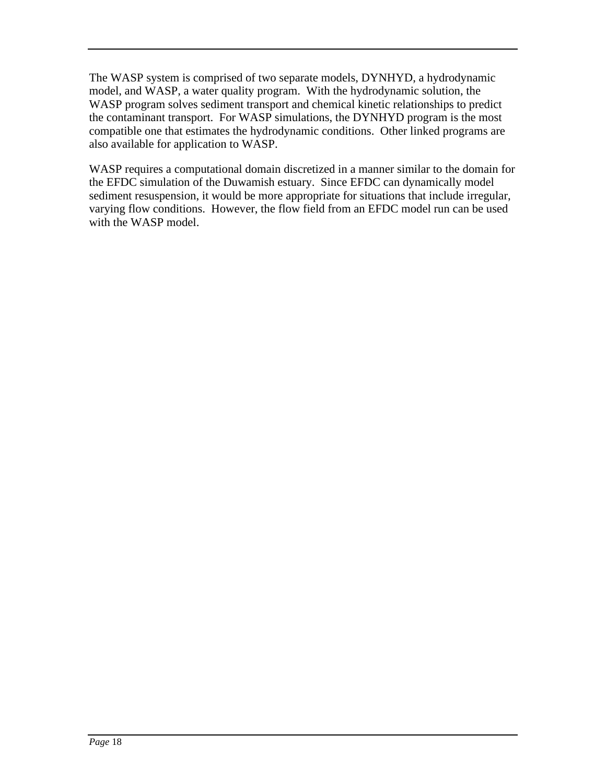The WASP system is comprised of two separate models, DYNHYD, a hydrodynamic model, and WASP, a water quality program. With the hydrodynamic solution, the WASP program solves sediment transport and chemical kinetic relationships to predict the contaminant transport. For WASP simulations, the DYNHYD program is the most compatible one that estimates the hydrodynamic conditions. Other linked programs are also available for application to WASP.

WASP requires a computational domain discretized in a manner similar to the domain for the EFDC simulation of the Duwamish estuary. Since EFDC can dynamically model sediment resuspension, it would be more appropriate for situations that include irregular, varying flow conditions. However, the flow field from an EFDC model run can be used with the WASP model.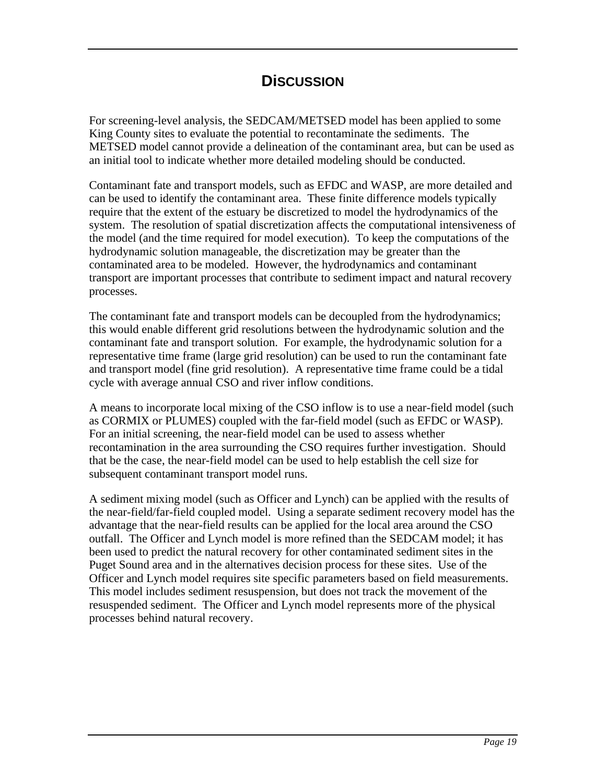#### **DiSCUSSION**

For screening-level analysis, the SEDCAM/METSED model has been applied to some King County sites to evaluate the potential to recontaminate the sediments. The METSED model cannot provide a delineation of the contaminant area, but can be used as an initial tool to indicate whether more detailed modeling should be conducted.

Contaminant fate and transport models, such as EFDC and WASP, are more detailed and can be used to identify the contaminant area. These finite difference models typically require that the extent of the estuary be discretized to model the hydrodynamics of the system. The resolution of spatial discretization affects the computational intensiveness of the model (and the time required for model execution). To keep the computations of the hydrodynamic solution manageable, the discretization may be greater than the contaminated area to be modeled. However, the hydrodynamics and contaminant transport are important processes that contribute to sediment impact and natural recovery processes.

The contaminant fate and transport models can be decoupled from the hydrodynamics; this would enable different grid resolutions between the hydrodynamic solution and the contaminant fate and transport solution. For example, the hydrodynamic solution for a representative time frame (large grid resolution) can be used to run the contaminant fate and transport model (fine grid resolution). A representative time frame could be a tidal cycle with average annual CSO and river inflow conditions.

A means to incorporate local mixing of the CSO inflow is to use a near-field model (such as CORMIX or PLUMES) coupled with the far-field model (such as EFDC or WASP). For an initial screening, the near-field model can be used to assess whether recontamination in the area surrounding the CSO requires further investigation. Should that be the case, the near-field model can be used to help establish the cell size for subsequent contaminant transport model runs.

A sediment mixing model (such as Officer and Lynch) can be applied with the results of the near-field/far-field coupled model. Using a separate sediment recovery model has the advantage that the near-field results can be applied for the local area around the CSO outfall. The Officer and Lynch model is more refined than the SEDCAM model; it has been used to predict the natural recovery for other contaminated sediment sites in the Puget Sound area and in the alternatives decision process for these sites. Use of the Officer and Lynch model requires site specific parameters based on field measurements. This model includes sediment resuspension, but does not track the movement of the resuspended sediment. The Officer and Lynch model represents more of the physical processes behind natural recovery.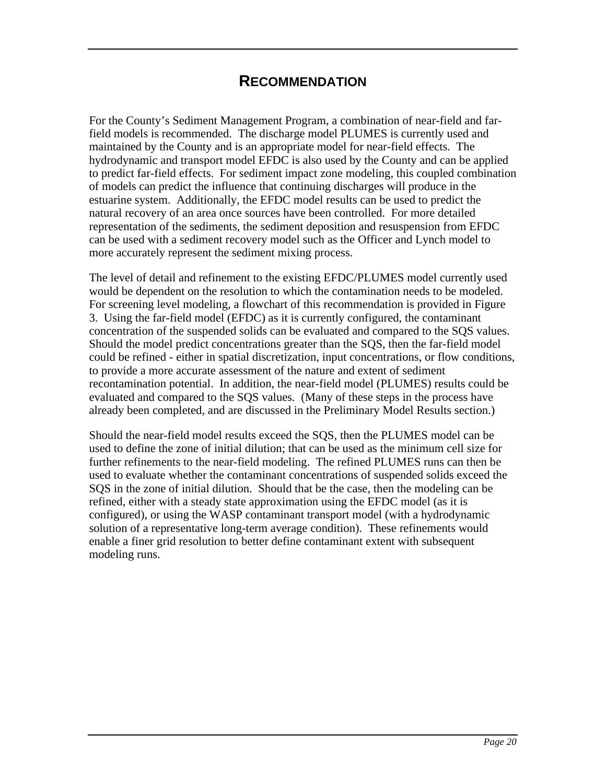#### **RECOMMENDATION**

For the County's Sediment Management Program, a combination of near-field and farfield models is recommended. The discharge model PLUMES is currently used and maintained by the County and is an appropriate model for near-field effects. The hydrodynamic and transport model EFDC is also used by the County and can be applied to predict far-field effects. For sediment impact zone modeling, this coupled combination of models can predict the influence that continuing discharges will produce in the estuarine system. Additionally, the EFDC model results can be used to predict the natural recovery of an area once sources have been controlled. For more detailed representation of the sediments, the sediment deposition and resuspension from EFDC can be used with a sediment recovery model such as the Officer and Lynch model to more accurately represent the sediment mixing process.

The level of detail and refinement to the existing EFDC/PLUMES model currently used would be dependent on the resolution to which the contamination needs to be modeled. For screening level modeling, a flowchart of this recommendation is provided in Figure 3. Using the far-field model (EFDC) as it is currently configured, the contaminant concentration of the suspended solids can be evaluated and compared to the SQS values. Should the model predict concentrations greater than the SQS, then the far-field model could be refined - either in spatial discretization, input concentrations, or flow conditions, to provide a more accurate assessment of the nature and extent of sediment recontamination potential. In addition, the near-field model (PLUMES) results could be evaluated and compared to the SQS values. (Many of these steps in the process have already been completed, and are discussed in the Preliminary Model Results section.)

Should the near-field model results exceed the SQS, then the PLUMES model can be used to define the zone of initial dilution; that can be used as the minimum cell size for further refinements to the near-field modeling. The refined PLUMES runs can then be used to evaluate whether the contaminant concentrations of suspended solids exceed the SQS in the zone of initial dilution. Should that be the case, then the modeling can be refined, either with a steady state approximation using the EFDC model (as it is configured), or using the WASP contaminant transport model (with a hydrodynamic solution of a representative long-term average condition). These refinements would enable a finer grid resolution to better define contaminant extent with subsequent modeling runs.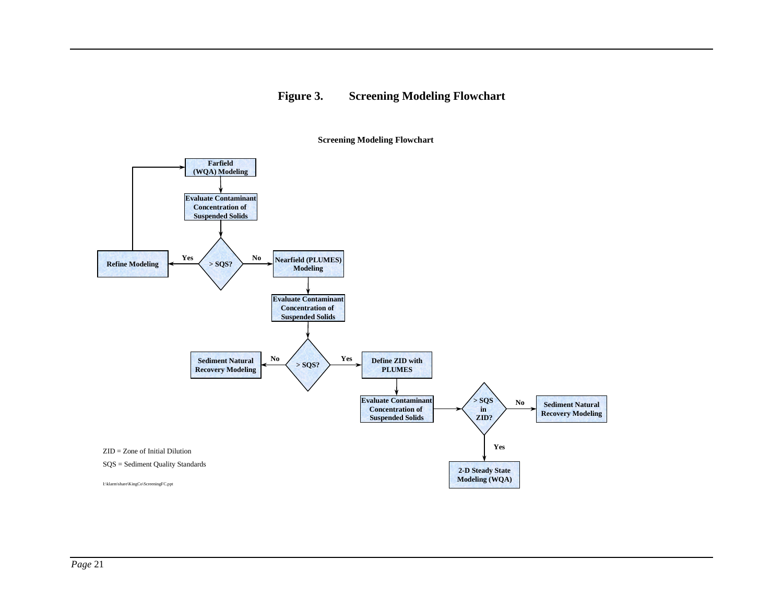#### **Figure 3. Screening Modeling Flowchart**

I:\klarm\share\KingCo\ScreeningFC.ppt **Farfield (WQA) Modeling > SQS? > SQS? > SQS in ZID? Yes Yes YesNo No No Evaluate Contaminant Concentration of Suspended Solids Evaluate Contaminant Concentration of Suspended Solids Nearfield (PLUMES) Modeling Refine Modeling Sediment Natural Recovery Modeling Define ZID with PLUMESSediment Natural Recovery Modeling 2-D Steady State Modeling (WQA) Evaluate Contaminant Concentration of Suspended Solids** ZID = Zone of Initial Dilution SQS = Sediment Quality Standards

#### **Screening Modeling Flowchart**